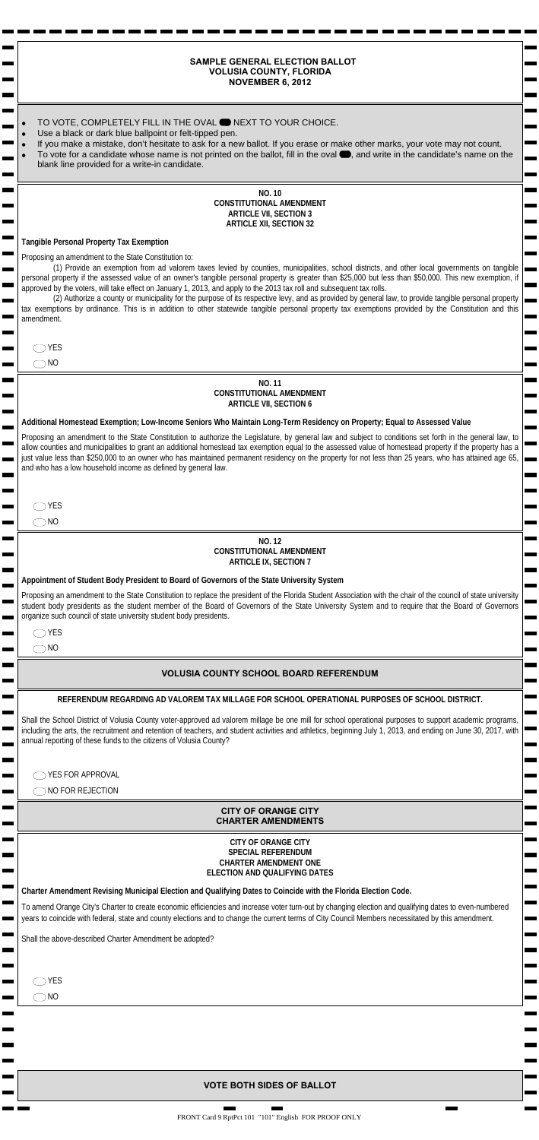| <b>NOVEMBER 6, 2012</b>                                                                                                                                                                                                                                                                                         |
|-----------------------------------------------------------------------------------------------------------------------------------------------------------------------------------------------------------------------------------------------------------------------------------------------------------------|
|                                                                                                                                                                                                                                                                                                                 |
| TO VOTE, COMPLETELY FILL IN THE OVAL ● NEXT TO YOUR CHOICE.<br>Use a black or dark blue ballpoint or felt-tipped pen.                                                                                                                                                                                           |
| If you make a mistake, don't hesitate to ask for a new ballot. If you erase or make other marks, your vote may not count.<br>To vote for a candidate whose name is not printed on the ballot, fill in the oval , and write in the candidate's name on the                                                       |
| blank line provided for a write-in candidate.                                                                                                                                                                                                                                                                   |
| <b>NO. 10</b>                                                                                                                                                                                                                                                                                                   |
| <b>CONSTITUTIONAL AMENDMENT</b><br><b>ARTICLE VII, SECTION 3</b>                                                                                                                                                                                                                                                |
| <b>ARTICLE XII, SECTION 32</b>                                                                                                                                                                                                                                                                                  |
| <b>Tangible Personal Property Tax Exemption</b>                                                                                                                                                                                                                                                                 |
| Proposing an amendment to the State Constitution to:<br>(1) Provide an exemption from ad valorem taxes levied by counties, municipalities, school districts, and other local governments on tangible                                                                                                            |
| personal property if the assessed value of an owner's tangible personal property is greater than \$25,000 but less than \$50,000. This new exemption, if<br>approved by the voters, will take effect on January 1, 2013, and apply to the 2013 tax roll and subsequent tax rolls.                               |
| (2) Authorize a county or municipality for the purpose of its respective levy, and as provided by general law, to provide tangible personal property<br>tax exemptions by ordinance. This is in addition to other statewide tangible personal property tax exemptions provided by the Constitution and this     |
| amendment.                                                                                                                                                                                                                                                                                                      |
| <b>YES</b>                                                                                                                                                                                                                                                                                                      |
| $\neg$ NO                                                                                                                                                                                                                                                                                                       |
| <b>NO.11</b>                                                                                                                                                                                                                                                                                                    |
| <b>CONSTITUTIONAL AMENDMENT</b><br><b>ARTICLE VII, SECTION 6</b>                                                                                                                                                                                                                                                |
| Addition.<br>nption; Low-Income Collings Who Maintain Long-Term Residency on Property; Equal to Assessed Value<br><b>Somestead</b>                                                                                                                                                                              |
| to the State<br>authorize the Legislature, by general law and subject to conditions set forth in the general law, to<br>Proposing an<br>10n                                                                                                                                                                     |
| allow counties and municipalities<br>homestead tax exemption equal to the assessed value of homestead property if the property has a<br>an additi<br>naintained permanent residency on the property for not less than 25 years, who has attained age 65,<br>just value less than \$250.0<br>mer who h           |
| and who has a low hous and income<br><b>'efiner</b><br>general law.                                                                                                                                                                                                                                             |
|                                                                                                                                                                                                                                                                                                                 |
| <b>YES</b>                                                                                                                                                                                                                                                                                                      |
| $\neg$ NO                                                                                                                                                                                                                                                                                                       |
| $N^{\circ}$<br><b>JNSTITY</b><br><b>JOMENT</b><br>vAL.                                                                                                                                                                                                                                                          |
| <b>ACLE IX</b><br>10N <sub>7</sub>                                                                                                                                                                                                                                                                              |
| <b>Ate Univer</b><br>ysten.<br>Appointment of Student Body President to Board of Governors of the                                                                                                                                                                                                               |
| at of the F<br>Proposing an amendment to the State Constitution to replace the pr<br>Student Associa<br>with the chair of the council of state university<br>student body presidents as the student member of the Board of<br>and to require that the Board of Governors<br>vernors of<br><b>University Sys</b> |
| organize such council of state university student body presidents.                                                                                                                                                                                                                                              |
| YES<br>$\neg$ NO                                                                                                                                                                                                                                                                                                |
|                                                                                                                                                                                                                                                                                                                 |
| <b>VOLUSIA COUNTY SCHOOL BOARD REFERF</b><br>$J$ M                                                                                                                                                                                                                                                              |
| <b>NAL PURPOSES OF SCHOO</b><br>REFERENDUM REGARDING AD VALOREM TAX MILLAGE FOR SCHOOL OPER.                                                                                                                                                                                                                    |
| Shall the School District of Volusia County voter-approved ad valorem millage be one mill for school of<br>tional purposes t<br>port academic<br>nrams,                                                                                                                                                         |
| including the arts, the recruitment and retention of teachers, and student activities and athletics, beginning<br>(1, 2013)<br>on June 30, 2c<br>∾ith<br>annual reporting of these funds to the citizens of Volusia County?                                                                                     |
|                                                                                                                                                                                                                                                                                                                 |
| YES FOR APPROVAL                                                                                                                                                                                                                                                                                                |
| NO FOR REJECTION                                                                                                                                                                                                                                                                                                |
| <b>CITY OF ORANGE CITY</b><br><b>CHARTER AMENDMENTS</b>                                                                                                                                                                                                                                                         |
| <b>CITY OF ORANGE CITY</b>                                                                                                                                                                                                                                                                                      |
| <b>SPECIAL REFERENDUM</b>                                                                                                                                                                                                                                                                                       |
| <b>CHARTER AMENDMENT ONE</b><br>ELECTION AND QUALIFYING DATES                                                                                                                                                                                                                                                   |
| Charter Amendment Revising Municipal Election and Qualifying Dates to Coincide with the Florida Election Code.                                                                                                                                                                                                  |
| To amend Orange City's Charter to create economic efficiencies and increase voter turn-out by changing election and qualifying dates to even-numbered                                                                                                                                                           |
| years to coincide with federal, state and county elections and to change the current terms of City Council Members necessitated by this amendment.                                                                                                                                                              |
| Shall the above-described Charter Amendment be adopted?                                                                                                                                                                                                                                                         |
|                                                                                                                                                                                                                                                                                                                 |
| YES                                                                                                                                                                                                                                                                                                             |
| $\neg$ NO                                                                                                                                                                                                                                                                                                       |
|                                                                                                                                                                                                                                                                                                                 |
|                                                                                                                                                                                                                                                                                                                 |
|                                                                                                                                                                                                                                                                                                                 |
|                                                                                                                                                                                                                                                                                                                 |
| <b>VOTE BOTH SIDES OF BALLOT</b>                                                                                                                                                                                                                                                                                |

 $\mathbf{r}$ 

 $\blacksquare$ 

## **SAMPLE GENERAL ELECTION BALLOT VOLUSIA COUNTY, FLORIDA NOVEMBER 6, 2012**

 $\blacksquare$  $\blacksquare$